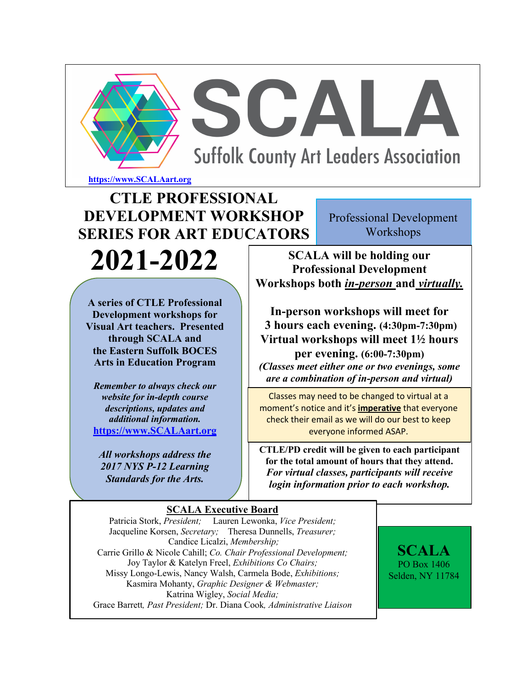

# **CTLE PROFESSIONAL DEVELOPMENT WORKSHOP SERIES FOR ART EDUCATORS 2021-2022**

Professional Development Workshops

**SCALA will be holding our Professional Development Workshops both** *in-person* **and** *virtually.*

**In-person workshops will meet for 3 hours each evening. (4:30pm-7:30pm) Virtual workshops will meet 1½ hours** 

**per evening. (6:00-7:30pm)** *(Classes meet either one or two evenings, some are a combination of in-person and virtual)*

Classes may need to be changed to virtual at a moment's notice and it's **imperative** that everyone check their email as we will do our best to keep everyone informed ASAP.

**CTLE/PD credit will be given to each participant for the total amount of hours that they attend.** *For virtual classes, participants will receive login information prior to each workshop.*

#### **A series of CTLE Professional Development workshops for Visual Art teachers. Presented through SCALA and the Eastern Suffolk BOCES Arts in Education Program**

 $\overline{\phantom{a}}$ 

*Remember to always check our website for in-depth course descriptions, updates and additional information.* **https://www.SCALAart.org**

*All workshops address the 2017 NYS P-12 Learning Standards for the Arts.*

**SCALA Executive Board**

Patricia Stork, *President;* Lauren Lewonka, *Vice President;* Jacqueline Korsen, *Secretary;* Theresa Dunnells, *Treasurer;* Candice Licalzi, *Membership;* Carrie Grillo & Nicole Cahill; *Co. Chair Professional Development;* Joy Taylor & Katelyn Freel, *Exhibitions Co Chairs;*  Missy Longo-Lewis, Nancy Walsh, Carmela Bode, *Exhibitions;* Kasmira Mohanty, *Graphic Designer & Webmaster;* Katrina Wigley, *Social Media;* Grace Barrett*, Past President;* Dr. Diana Cook*, Administrative Liaison*

**SCALA** PO Box 1406 Selden, NY 11784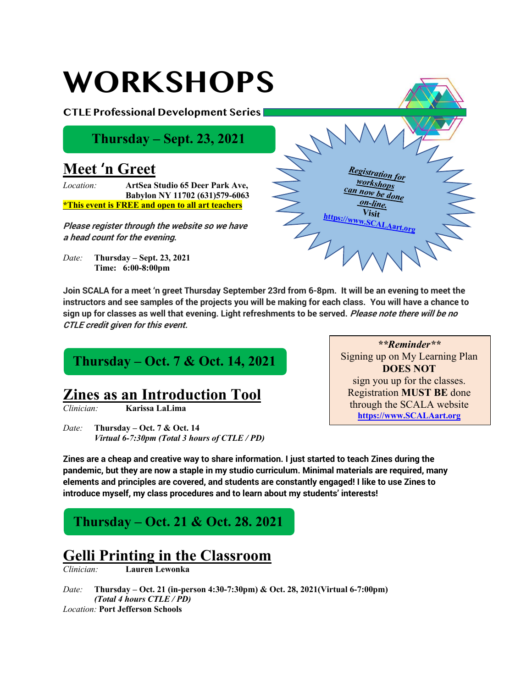#### *Registration for workshops done on-line.* **Visit https://www.SCALAart.org WORKSHOPS CTLE Professional Development Series Meet** '**n Greet** *Location:* **ArtSea Studio 65 Deer Park Ave, Babylon NY 11702 (631)579-6063 \*This event is FREE and open to all art teachers Please register through the website so we have a head count for the evening.** *Date:* **Thursday – Sept. 23, 2021 Time: 6:00-8:00pm Thursday – Sept. 23, 2021**

**Join SCALA for a meet 'n greet Thursday September 23rd from 6-8pm. It will be an evening to meet the instructors and see samples of the projects you will be making for each class. You will have a chance to sign up for classes as well that evening. Light refreshments to be served. Please note there will be no CTLE credit given for this event.**

### **Thursday – Oct. 7 & Oct. 14, 2021**

# **Zines as an Introduction Tool**

*Clinician:* **Karissa LaLima**

*Date:* **Thursday – Oct. 7 & Oct. 14** *Virtual 6-7:30pm (Total 3 hours of CTLE / PD)*

**Zines are a cheap and creative way to share information. I just started to teach Zines during the pandemic, but they are now a staple in my studio curriculum. Minimal materials are required, many elements and principles are covered, and students are constantly engaged! I like to use Zines to introduce myself, my class procedures and to learn about my students' interests!** 

### **Thursday – Oct. 21 & Oct. 28. 2021**

# **Gelli Printing in the Classroom**

*Clinician:* **Lauren Lewonka**

*Date:* **Thursday – Oct. 21 (in-person 4:30-7:30pm) & Oct. 28, 2021(Virtual 6-7:00pm)** *(Total 4 hours CTLE / PD) Location:* **Port Jefferson Schools**

*\*\*Reminder\*\** Signing up on My Learning Plan **DOES NOT**  sign you up for the classes. Registration **MUST BE** done through the SCALA website **https://www.SCALAart.org**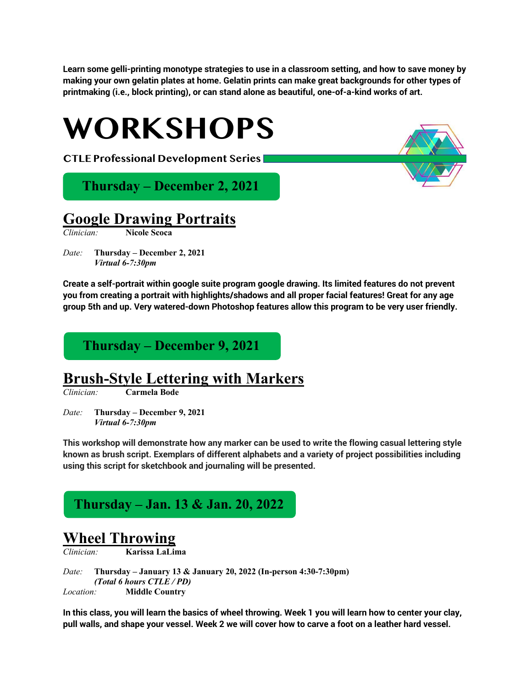**Learn some gelli-printing monotype strategies to use in a classroom setting, and how to save money by making your own gelatin plates at home. Gelatin prints can make great backgrounds for other types of printmaking (i.e., block printing), or can stand alone as beautiful, one-of-a-kind works of art.**



#### **Google Drawing Portraits**

*Clinician:* **Nicole Scoca**

*Date:* **Thursday – December 2, 2021** *Virtual 6-7:30pm*

**Create a self-portrait within google suite program google drawing. Its limited features do not prevent you from creating a portrait with highlights/shadows and all proper facial features! Great for any age group 5th and up. Very watered-down Photoshop features allow this program to be very user friendly.** 

#### **Thursday – December 9, 2021**

#### **Brush-Style Lettering with Markers**

*Clinician:* **Carmela Bode**

*Date:* **Thursday – December 9, 2021** *Virtual 6-7:30pm*

**This workshop will demonstrate how any marker can be used to write the flowing casual lettering style known as brush script. Exemplars of different alphabets and a variety of project possibilities including using this script for sketchbook and journaling will be presented.**

#### **Thursday – Jan. 13 & Jan. 20, 2022**

#### **Wheel Throwing**

*Clinician:* **Karissa LaLima**

*Date:* **Thursday – January 13 & January 20, 2022 (In-person 4:30-7:30pm)** *(Total 6 hours CTLE / PD) Location:* **Middle Country**

**In this class, you will learn the basics of wheel throwing. Week 1 you will learn how to center your clay, pull walls, and shape your vessel. Week 2 we will cover how to carve a foot on a leather hard vessel.**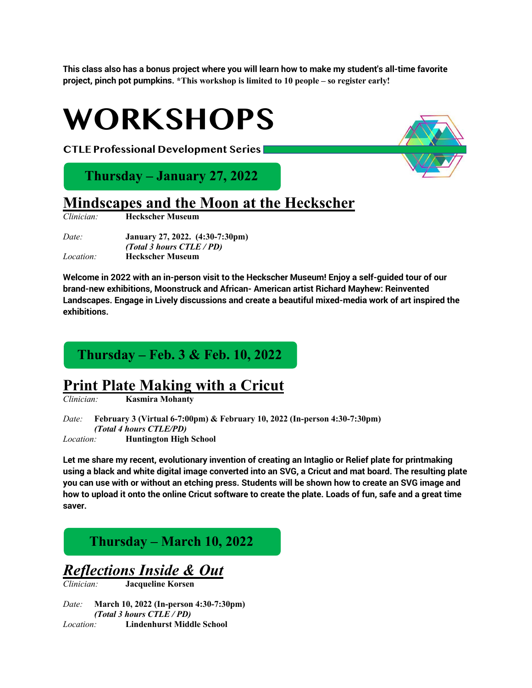**This class also has a bonus project where you will learn how to make my student's all-time favorite project, pinch pot pumpkins. \*This workshop is limited to 10 people – so register early!**



*Clinician:* **Heckscher Museum**

*Date:* **January 27, 2022. (4:30-7:30pm)** *(Total 3 hours CTLE / PD) Location:* **Heckscher Museum**

**Welcome in 2022 with an in-person visit to the Heckscher Museum! Enjoy a self-guided tour of our brand-new exhibitions, Moonstruck and African- American artist Richard Mayhew: Reinvented Landscapes. Engage in Lively discussions and create a beautiful mixed-media work of art inspired the exhibitions.**

#### **Thursday – Feb. 3 & Feb. 10, 2022**

### **Print Plate Making with a Cricut**

*Clinician:* **Kasmira Mohanty**

*Date:* **February 3 (Virtual 6-7:00pm) & February 10, 2022 (In-person 4:30-7:30pm)** *(Total 4 hours CTLE/PD) Location:* **Huntington High School**

**Let me share my recent, evolutionary invention of creating an Intaglio or Relief plate for printmaking using a black and white digital image converted into an SVG, a Cricut and mat board. The resulting plate you can use with or without an etching press. Students will be shown how to create an SVG image and how to upload it onto the online Cricut software to create the plate. Loads of fun, safe and a great time saver.**

#### **Thursday – March 10, 2022**

*Reflections Inside & Out*

*Clinician:* **Jacqueline Korsen**

*Date:* **March 10, 2022 (In-person 4:30-7:30pm)** *(Total 3 hours CTLE / PD) Location:* **Lindenhurst Middle School**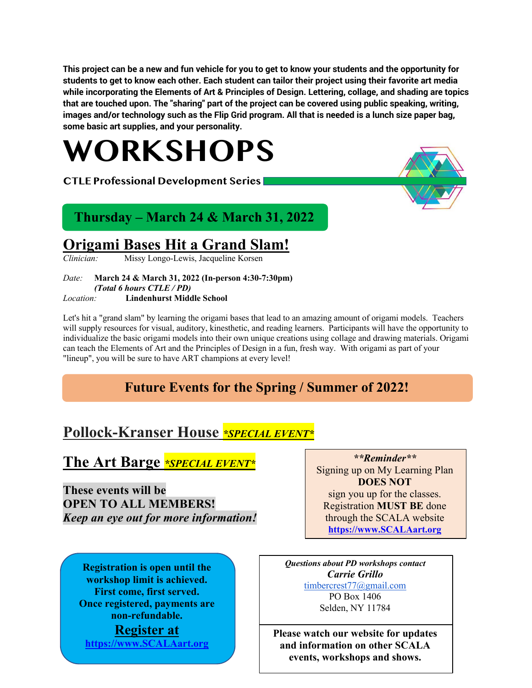**This project can be a new and fun vehicle for you to get to know your students and the opportunity for students to get to know each other. Each student can tailor their project using their favorite art media while incorporating the Elements of Art & Principles of Design. Lettering, collage, and shading are topics that are touched upon. The "sharing" part of the project can be covered using public speaking, writing, images and/or technology such as the Flip Grid program. All that is needed is a lunch size paper bag, some basic art supplies, and your personality.**

# **WORKSHOPS**

**CTLE Professional Development Series** 



### **Thursday – March 24 & March 31, 2022**

# **Origami Bases Hit a Grand Slam!**

*Clinician:* Missy Longo-Lewis, Jacqueline Korsen

*Date:* **March 24 & March 31, 2022 (In-person 4:30-7:30pm)** *(Total 6 hours CTLE / PD) Location:* **Lindenhurst Middle School**

Let's hit a "grand slam" by learning the origami bases that lead to an amazing amount of origami models. Teachers will supply resources for visual, auditory, kinesthetic, and reading learners. Participants will have the opportunity to individualize the basic origami models into their own unique creations using collage and drawing materials. Origami can teach the Elements of Art and the Principles of Design in a fun, fresh way. With origami as part of your "lineup", you will be sure to have ART champions at every level!

# **Future Events for the Spring / Summer of 2022!**

# **Pollock-Kranser House** *\*SPECIAL EVENT\**

### **The Art Barge** *\*SPECIAL EVENT\**

**These events will be OPEN TO ALL MEMBERS!**  *Keep an eye out for more information!*

**Registration is open until the workshop limit is achieved. First come, first served. Once registered, payments are non-refundable. Register at https://www.SCALAart.org**

sign you up for the classes. Registration **MUST BE** done through the SCALA website **https://www.SCALAart.org**

*\*\*Reminder\*\** Signing up on My Learning Plan **DOES NOT** 

*Questions about PD workshops contact Carrie Grillo* timbercrest77@gmail.com PO Box 1406 Selden, NY 11784

**Please watch our website for updates and information on other SCALA events, workshops and shows.**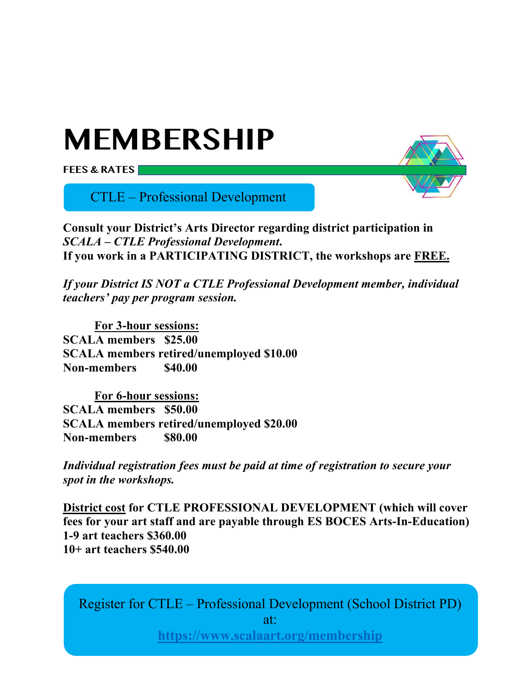# **MEMBERSHIP**

**FEES & RATES**

CTLE – Professional Development



**Consult your District's Arts Director regarding district participation in**  *SCALA – CTLE Professional Development***. If you work in a PARTICIPATING DISTRICT, the workshops are FREE.**

*If your District IS NOT a CTLE Professional Development member, individual teachers' pay per program session.*

**For 3-hour sessions: SCALA members \$25.00 SCALA members retired/unemployed \$10.00 Non-members \$40.00**

**For 6-hour sessions: SCALA members \$50.00 SCALA members retired/unemployed \$20.00 Non-members \$80.00**

*Individual registration fees must be paid at time of registration to secure your spot in the workshops.*

**District cost for CTLE PROFESSIONAL DEVELOPMENT (which will cover fees for your art staff and are payable through ES BOCES Arts-In-Education) 1-9 art teachers \$360.00 10+ art teachers \$540.00**

Register for CTLE – Professional Development (School District PD) at: **https://www.scalaart.org/membership**